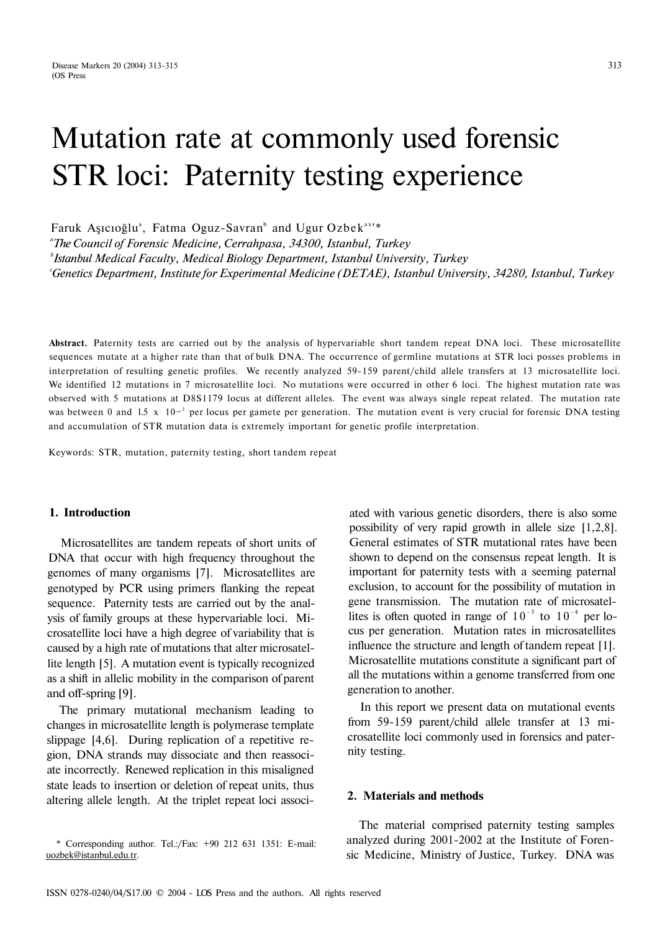# Mutation rate at commonly used forensic STR loci: Paternity testing experience

Faruk Aşıcıoğlu<sup>a</sup>, Fatma Oguz-Savran<sup>b</sup> and Ugur Ozbek<sup>ax</sup>'\*

*a The Council of Forensic Medicine, Cerrahpasa, 34300, Istanbul, Turkey b Istanbul Medical Faculty, Medical Biology Department, Istanbul University, Turkey c Genetics Department, Institute for Experimental Medicine (DETAE), Istanbul University, 34280, Istanbul, Turkey* 

**Abstract.** Paternity tests are carried out by the analysis of hypervariable short tandem repeat DNA loci. These microsatellite sequences mutate at a higher rate than that of bulk DNA. The occurrence of germline mutations at STR loci posses problems in interpretation of resulting genetic profiles. We recently analyzed 59-159 parent/child allele transfers at 13 microsatellite loci. We identified 12 mutations in 7 microsatellite loci. No mutations were occurred in other 6 loci. The highest mutation rate was observed with 5 mutations at D8S1179 locus at different alleles. The event was always single repeat related. The mutation rate was between 0 and 1.5 x  $10<sup>-2</sup>$  per locus per gamete per generation. The mutation event is very crucial for forensic DNA testing and accumulation of STR mutation data is extremely important for genetic profile interpretation.

Keywords: STR, mutation, paternity testing, short tandem repeat

## **1. Introduction**

Microsatellites are tandem repeats of short units of DNA that occur with high frequency throughout the genomes of many organisms [7]. Microsatellites are genotyped by PCR using primers flanking the repeat sequence. Paternity tests are carried out by the analysis of family groups at these hypervariable loci. Microsatellite loci have a high degree of variability that is caused by a high rate of mutations that alter microsatellite length [5]. A mutation event is typically recognized as a shift in allelic mobility in the comparison of parent and off-spring [9].

The primary mutational mechanism leading to changes in microsatellite length is polymerase template slippage [4,6]. During replication of a repetitive region, DNA strands may dissociate and then reassociate incorrectly. Renewed replication in this misaligned state leads to insertion or deletion of repeat units, thus altering allele length. At the triplet repeat loci associ-

\* Corresponding author. Tel.:/Fax: +90 212 631 1351: E-mail: [uozbek@istanbul.edu.tr.](mailto:uozbek@istanbul.edu.tr)

ated with various genetic disorders, there is also some possibility of very rapid growth in allele size [1,2,8]. General estimates of STR mutational rates have been shown to depend on the consensus repeat length. It is important for paternity tests with a seeming paternal exclusion, to account for the possibility of mutation in gene transmission. The mutation rate of microsatellites is often quoted in range of  $10^{-3}$  to  $10^{-4}$  per locus per generation. Mutation rates in microsatellites influence the structure and length of tandem repeat [1]. Microsatellite mutations constitute a significant part of all the mutations within a genome transferred from one generation to another.

In this report we present data on mutational events from 59-159 parent/child allele transfer at 13 microsatellite loci commonly used in forensics and paternity testing.

### **2. Materials and methods**

The material comprised paternity testing samples analyzed during 2001-2002 at the Institute of Forensic Medicine, Ministry of Justice, Turkey. DNA was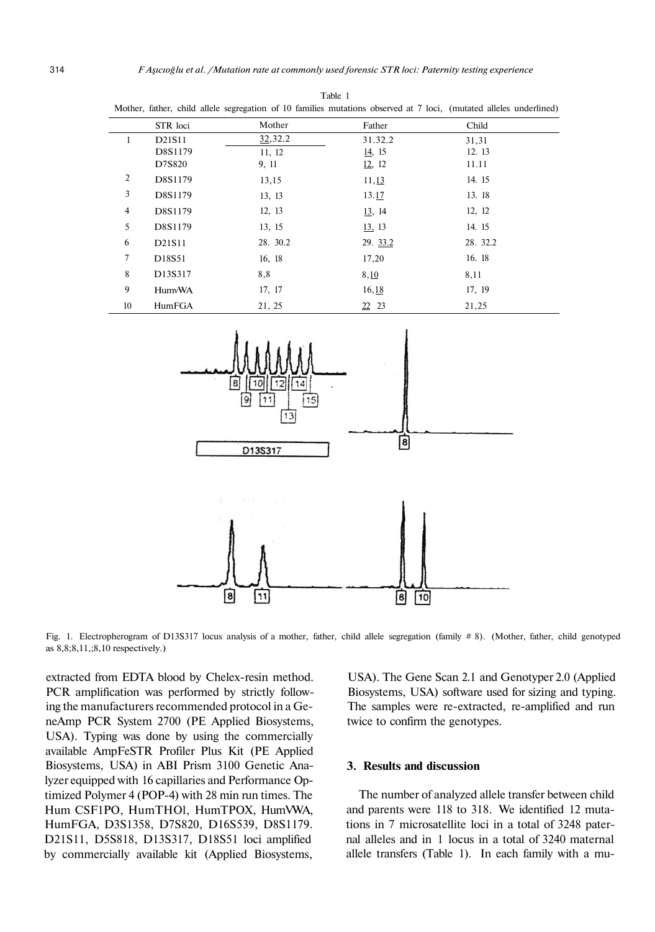Table 1

|                |               |           |          | Mother, father, child allele segregation of 10 families mutations observed at 7 loci, (mutated alleles underlined) |
|----------------|---------------|-----------|----------|--------------------------------------------------------------------------------------------------------------------|
|                | STR loci      | Mother    | Father   | Child                                                                                                              |
| 1              | D21S11        | 32, 32. 2 | 31.32.2  | 31,31                                                                                                              |
|                | D8S1179       | 11, 12    | 14, 15   | 12.13                                                                                                              |
|                | D7S820        | 9, 11     | 12, 12   | 11.11                                                                                                              |
| $\overline{c}$ | D8S1179       | 13,15     | 11,13    | 14. 15                                                                                                             |
| 3              | D8S1179       | 13, 13    | 13.17    | 13.18                                                                                                              |
| $\overline{4}$ | D8S1179       | 12, 13    | 13, 14   | 12, 12                                                                                                             |
| 5              | D8S1179       | 13, 15    | 13, 13   | 14. 15                                                                                                             |
| 6              | D21S11        | 28. 30.2  | 29. 33.2 | 28. 32.2                                                                                                           |
| 7              | D18S51        | 16, 18    | 17,20    | 16.18                                                                                                              |
| 8              | D13S317       | 8,8       | 8,10     | 8,11                                                                                                               |
| 9              | <b>HumvWA</b> | 17, 17    | 16, 18   | 17, 19                                                                                                             |
| 10             | HumFGA        | 21, 25    | 22 23    | 21,25                                                                                                              |



Fig. 1. Electropherogram of D13S317 locus analysis of a mother, father, child allele segregation (family # 8). (Mother, father, child genotyped as 8,8;8,11,;8,10 respectively.)

extracted from EDTA blood by Chelex-resin method. PCR amplification was performed by strictly following the manufacturers recommended protocol in a GeneAmp PCR System 2700 (PE Applied Biosystems, USA). Typing was done by using the commercially available AmpFeSTR Profiler Plus Kit (PE Applied Biosystems, USA) in ABI Prism 3100 Genetic Analyzer equipped with 16 capillaries and Performance Optimized Polymer 4 (POP-4) with 28 min run times. The Hum CSF1PO, HumTHOl, HumTPOX, HumVWA, HumFGA, D3S1358, D7S820, D16S539, D8S1179. D21S11, D5S818, D13S317, D18S51 loci amplified by commercially available kit (Applied Biosystems,

USA). The Gene Scan 2.1 and Genotyper 2.0 (Applied Biosystems, USA) software used for sizing and typing. The samples were re-extracted, re-amplified and run twice to confirm the genotypes.

#### **3. Results and discussion**

The number of analyzed allele transfer between child and parents were 118 to 318. We identified 12 mutations in 7 microsatellite loci in a total of 3248 paternal alleles and in 1 locus in a total of 3240 maternal allele transfers (Table 1). In each family with a mu-